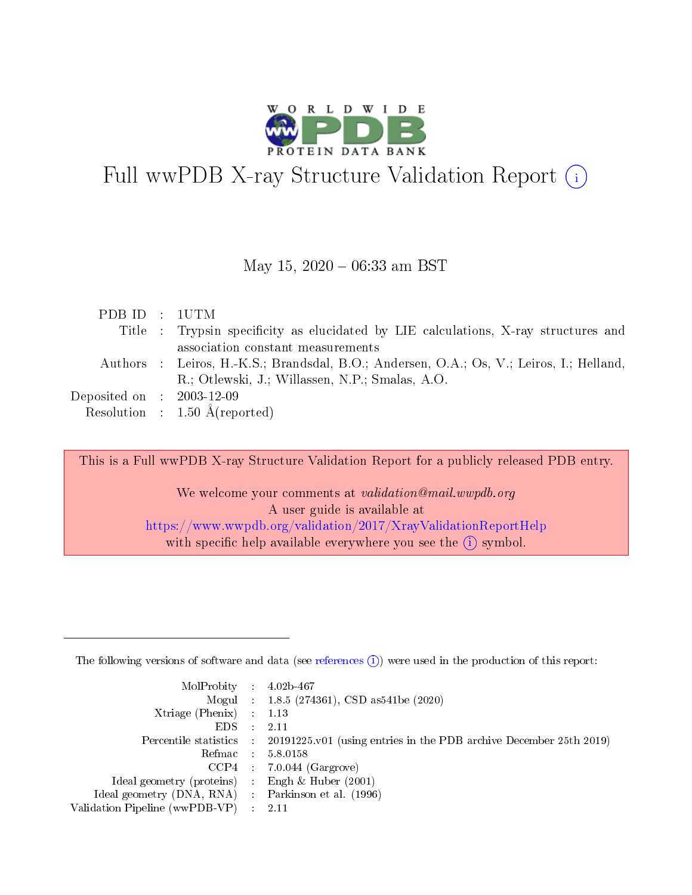

# Full wwPDB X-ray Structure Validation Report (i)

#### May 15,  $2020 - 06:33$  am BST

| PDB ID : 1UTM               |                                                                                          |
|-----------------------------|------------------------------------------------------------------------------------------|
|                             | Title : Trypsin specificity as elucidated by LIE calculations, X-ray structures and      |
|                             | association constant measurements                                                        |
|                             | Authors : Leiros, H.-K.S.; Brandsdal, B.O.; Andersen, O.A.; Os, V.; Leiros, I.; Helland, |
|                             | R.; Otlewski, J.; Willassen, N.P.; Smalas, A.O.                                          |
| Deposited on : $2003-12-09$ |                                                                                          |
|                             | Resolution : $1.50 \text{ Å}$ (reported)                                                 |

This is a Full wwPDB X-ray Structure Validation Report for a publicly released PDB entry.

We welcome your comments at validation@mail.wwpdb.org A user guide is available at <https://www.wwpdb.org/validation/2017/XrayValidationReportHelp> with specific help available everywhere you see the  $(i)$  symbol.

The following versions of software and data (see [references](https://www.wwpdb.org/validation/2017/XrayValidationReportHelp#references)  $(1)$ ) were used in the production of this report:

| $MolProbability$ : 4.02b-467                        |               |                                                                                            |
|-----------------------------------------------------|---------------|--------------------------------------------------------------------------------------------|
|                                                     |               | Mogul : $1.8.5$ (274361), CSD as 541be (2020)                                              |
| Xtriage (Phenix) $: 1.13$                           |               |                                                                                            |
| EDS.                                                | $\mathcal{L}$ | 2.11                                                                                       |
|                                                     |               | Percentile statistics : 20191225.v01 (using entries in the PDB archive December 25th 2019) |
| Refmac 5.8.0158                                     |               |                                                                                            |
|                                                     |               | $CCP4$ : 7.0.044 (Gargrove)                                                                |
| Ideal geometry (proteins)                           |               | Engh $\&$ Huber (2001)                                                                     |
| Ideal geometry (DNA, RNA) : Parkinson et al. (1996) |               |                                                                                            |
| Validation Pipeline (wwPDB-VP) : 2.11               |               |                                                                                            |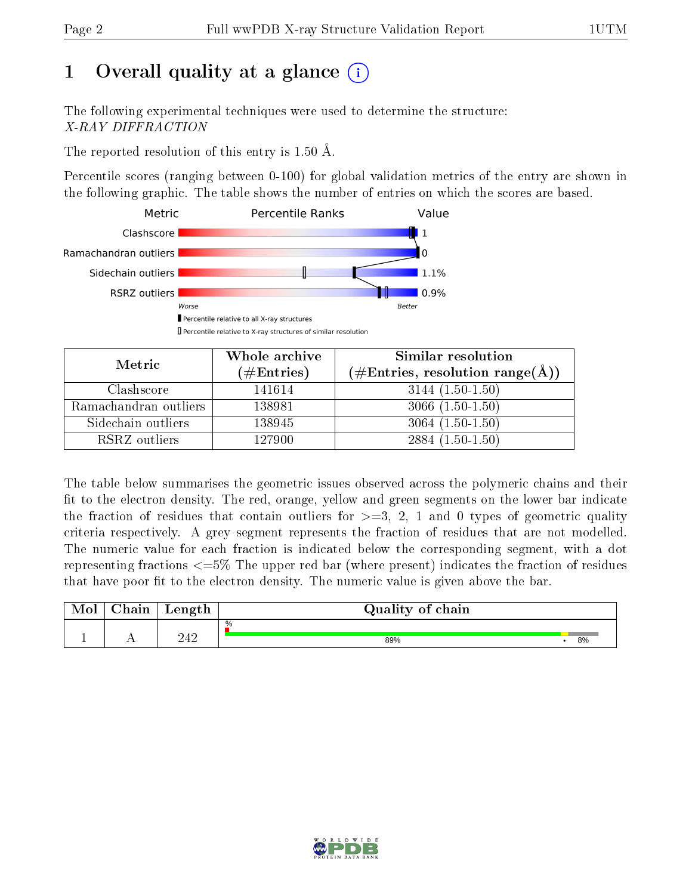# 1 [O](https://www.wwpdb.org/validation/2017/XrayValidationReportHelp#overall_quality)verall quality at a glance  $(i)$

The following experimental techniques were used to determine the structure: X-RAY DIFFRACTION

The reported resolution of this entry is 1.50 Å.

Percentile scores (ranging between 0-100) for global validation metrics of the entry are shown in the following graphic. The table shows the number of entries on which the scores are based.



| Metric                | Whole archive        | Similar resolution                                 |  |  |
|-----------------------|----------------------|----------------------------------------------------|--|--|
|                       | $(\#\text{Entries})$ | $(\#\text{Entries}, \text{resolution range}(\AA))$ |  |  |
| Clashscore            | 141614               | $3144(1.50-1.50)$                                  |  |  |
| Ramachandran outliers | 138981               | $3066(1.50-1.50)$                                  |  |  |
| Sidechain outliers    | 138945               | $3064(1.50-1.50)$                                  |  |  |
| RSRZ outliers         | 127900               | $2884(1.50-1.50)$                                  |  |  |

The table below summarises the geometric issues observed across the polymeric chains and their fit to the electron density. The red, orange, yellow and green segments on the lower bar indicate the fraction of residues that contain outliers for  $\geq=3$ , 2, 1 and 0 types of geometric quality criteria respectively. A grey segment represents the fraction of residues that are not modelled. The numeric value for each fraction is indicated below the corresponding segment, with a dot representing fractions  $\epsilon = 5\%$  The upper red bar (where present) indicates the fraction of residues that have poor fit to the electron density. The numeric value is given above the bar.

| $\gamma$ hain | Length | Quality of chain |    |
|---------------|--------|------------------|----|
|               |        | $\%$             |    |
| . .           | 242    | 89%              | 8% |

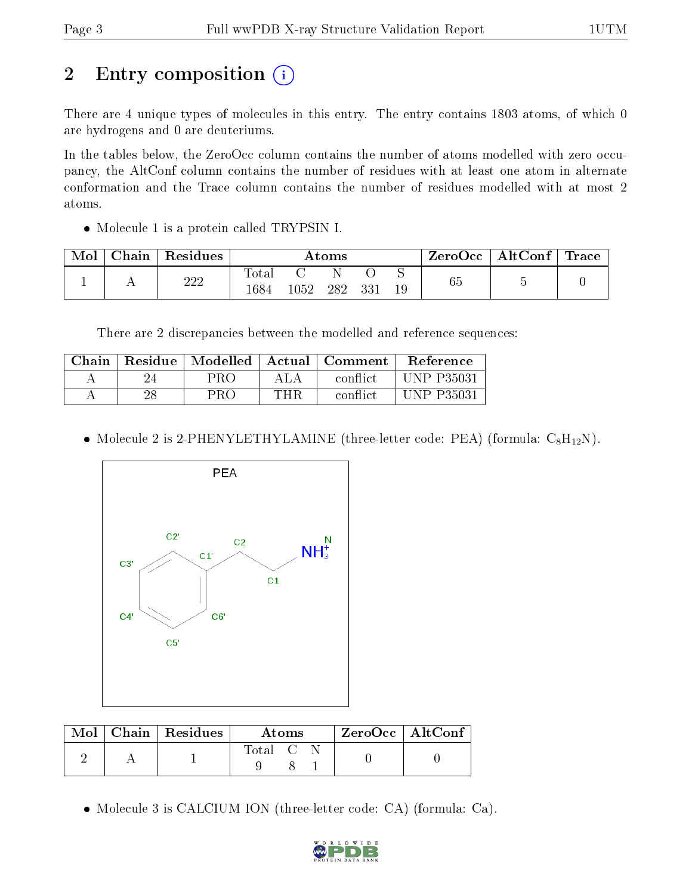# 2 Entry composition (i)

There are 4 unique types of molecules in this entry. The entry contains 1803 atoms, of which 0 are hydrogens and 0 are deuteriums.

In the tables below, the ZeroOcc column contains the number of atoms modelled with zero occupancy, the AltConf column contains the number of residues with at least one atom in alternate conformation and the Trace column contains the number of residues modelled with at most 2 atoms.

• Molecule 1 is a protein called TRYPSIN I.

| Mol | Chain | ' Residues | $\rm{Atoms}$           |      |     |     |    | ZeroOcc∣ | $\mid$ AltConf $\mid$ | Trace |
|-----|-------|------------|------------------------|------|-----|-----|----|----------|-----------------------|-------|
|     |       | 222        | $_{\rm Total}$<br>1684 | 1052 | 282 | 331 | 19 | 65       |                       |       |

There are 2 discrepancies between the modelled and reference sequences:

| Chain                    |    | Residue   Modelled   Actual   Comment |       |          | Reference  |
|--------------------------|----|---------------------------------------|-------|----------|------------|
| $\overline{\phantom{a}}$ |    | PRO                                   | A L A | conflict | UNP P35031 |
|                          | 28 | PRO                                   | THR   | conflict | INP P35031 |

• Molecule 2 is 2-PHENYLETHYLAMINE (three-letter code: PEA) (formula:  $C_8H_{12}N$ ).



| Mol | Chain   Residues | Atoms   |  |  | $\rm ZeroOcc$   Alt $\rm Conf$ |  |
|-----|------------------|---------|--|--|--------------------------------|--|
|     |                  | Total C |  |  |                                |  |

Molecule 3 is CALCIUM ION (three-letter code: CA) (formula: Ca).

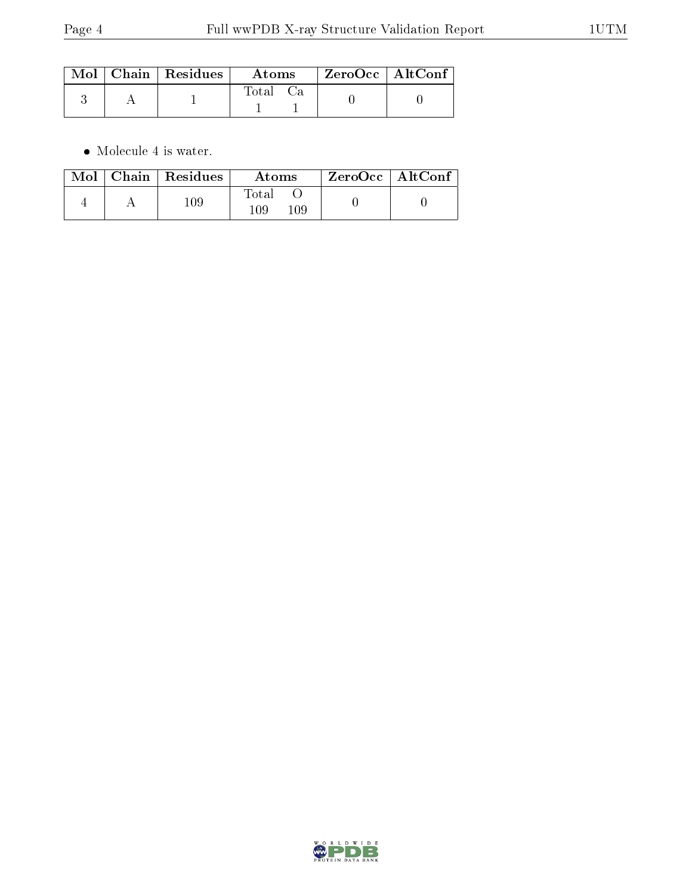|  | $\mid$ Mol $\mid$ Chain $\mid$ Residues $\mid$ | Atoms    | ZeroOcc   AltConf |  |
|--|------------------------------------------------|----------|-------------------|--|
|  |                                                | Total Ca |                   |  |

 $\bullet\,$  Molecule 4 is water.

|  | $Mol$   Chain   Residues | Atoms               | ZeroOcc   AltConf |  |
|--|--------------------------|---------------------|-------------------|--|
|  | $109\,$                  | Fotal<br>109<br>109 |                   |  |

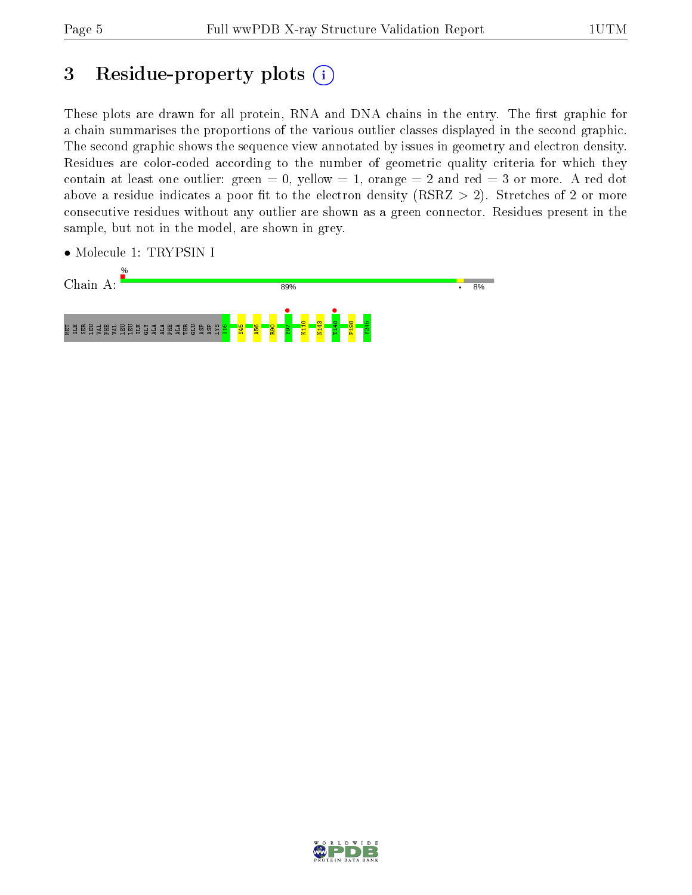## 3 Residue-property plots  $(i)$

These plots are drawn for all protein, RNA and DNA chains in the entry. The first graphic for a chain summarises the proportions of the various outlier classes displayed in the second graphic. The second graphic shows the sequence view annotated by issues in geometry and electron density. Residues are color-coded according to the number of geometric quality criteria for which they contain at least one outlier: green  $= 0$ , yellow  $= 1$ , orange  $= 2$  and red  $= 3$  or more. A red dot above a residue indicates a poor fit to the electron density (RSRZ  $> 2$ ). Stretches of 2 or more consecutive residues without any outlier are shown as a green connector. Residues present in the sample, but not in the model, are shown in grey.



• Molecule 1: TRYPSIN I

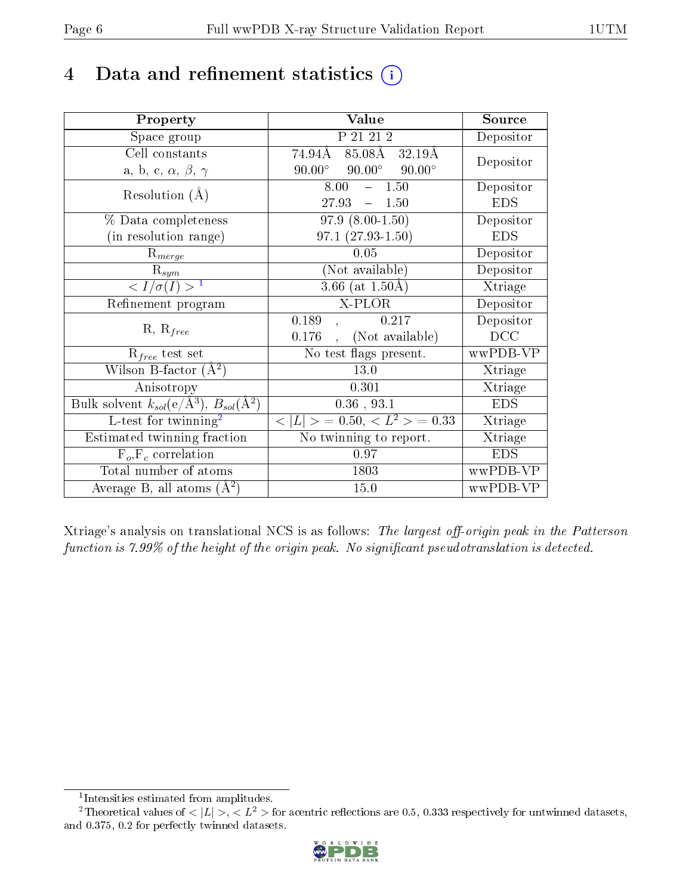## 4 Data and refinement statistics  $(i)$

| Property                                                                 | Value                                            | Source     |
|--------------------------------------------------------------------------|--------------------------------------------------|------------|
| Space group                                                              | P 21 21 2                                        | Depositor  |
| Cell constants                                                           | $85.08\text{\AA}$<br>$74.94\text{\AA}$<br>32.19Å |            |
| a, b, c, $\alpha$ , $\beta$ , $\gamma$                                   | $90.00^\circ$<br>$90.00^\circ$<br>$90.00^\circ$  | Depositor  |
| Resolution $(A)$                                                         | $-1.50$<br>8.00                                  | Depositor  |
|                                                                          | 27.93<br>1.50<br>$\equiv$                        | <b>EDS</b> |
| $\%$ Data completeness                                                   | $97.9(8.00-1.50)$                                | Depositor  |
| (in resolution range)                                                    | $97.1(27.93-1.50)$                               | <b>EDS</b> |
| $R_{merge}$                                                              | 0.05                                             | Depositor  |
| $\mathrm{R}_{sym}$                                                       | (Not available)                                  | Depositor  |
| $\langle I/\sigma(I) \rangle^{-1}$                                       | 3.66 (at $1.50\text{\AA}$ )                      | Xtriage    |
| Refinement program                                                       | X-PLOR                                           | Depositor  |
| $R, R_{free}$                                                            | 0.189<br>0.217                                   | Depositor  |
|                                                                          | (Not available)<br>0.176                         | DCC        |
| $\mathcal{R}_{free}$ test set                                            | No test flags present.                           | wwPDB-VP   |
| Wilson B-factor $(A^2)$                                                  | 13.0                                             | Xtriage    |
| Anisotropy                                                               | 0.301                                            | Xtriage    |
| Bulk solvent $k_{sol}(\mathrm{e}/\mathrm{A}^3),$ $B_{sol}(\mathrm{A}^2)$ | $0.36$ , $93.1$                                  | <b>EDS</b> |
| L-test for twinning <sup>2</sup>                                         | $< L >$ = 0.50, $< L2 >$ = 0.33                  | Xtriage    |
| Estimated twinning fraction                                              | $\overline{\text{No}}$ twinning to report.       | Xtriage    |
| $F_o, F_c$ correlation                                                   | 0.97                                             | <b>EDS</b> |
| Total number of atoms                                                    | 1803                                             | wwPDB-VP   |
| Average B, all atoms $(A^2)$                                             | 15.0                                             | wwPDB-VP   |

Xtriage's analysis on translational NCS is as follows: The largest off-origin peak in the Patterson function is  $7.99\%$  of the height of the origin peak. No significant pseudotranslation is detected.

<sup>&</sup>lt;sup>2</sup>Theoretical values of  $\langle |L| \rangle$ ,  $\langle L^2 \rangle$  for acentric reflections are 0.5, 0.333 respectively for untwinned datasets, and 0.375, 0.2 for perfectly twinned datasets.



<span id="page-5-1"></span><span id="page-5-0"></span><sup>1</sup> Intensities estimated from amplitudes.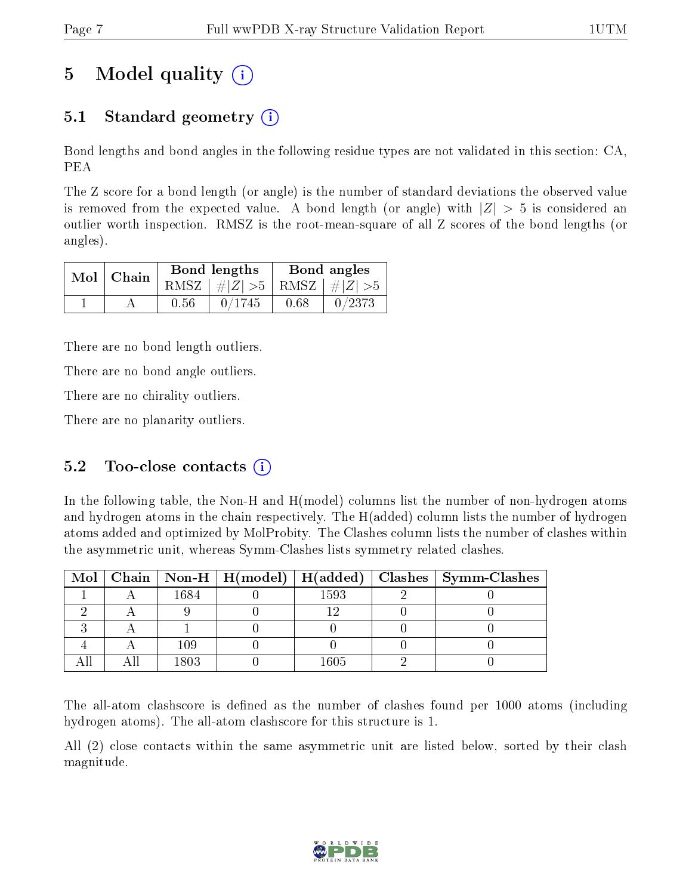# 5 Model quality  $(i)$

### 5.1 Standard geometry (i)

Bond lengths and bond angles in the following residue types are not validated in this section: CA, PEA

The Z score for a bond length (or angle) is the number of standard deviations the observed value is removed from the expected value. A bond length (or angle) with  $|Z| > 5$  is considered an outlier worth inspection. RMSZ is the root-mean-square of all Z scores of the bond lengths (or angles).

| $Mol$   Chain |      | Bond lengths                    | Bond angles |        |  |
|---------------|------|---------------------------------|-------------|--------|--|
|               |      | RMSZ $ #Z  > 5$ RMSZ $ #Z  > 5$ |             |        |  |
|               | 0.56 | 0/1745                          | 0.68        | 0/2373 |  |

There are no bond length outliers.

There are no bond angle outliers.

There are no chirality outliers.

There are no planarity outliers.

#### 5.2 Too-close contacts  $(i)$

In the following table, the Non-H and H(model) columns list the number of non-hydrogen atoms and hydrogen atoms in the chain respectively. The H(added) column lists the number of hydrogen atoms added and optimized by MolProbity. The Clashes column lists the number of clashes within the asymmetric unit, whereas Symm-Clashes lists symmetry related clashes.

|  |       |      | Mol   Chain   Non-H   H(model)   H(added)   Clashes   Symm-Clashes |
|--|-------|------|--------------------------------------------------------------------|
|  | 1684  | 1593 |                                                                    |
|  |       |      |                                                                    |
|  |       |      |                                                                    |
|  | 109   |      |                                                                    |
|  | 1803. | 1605 |                                                                    |

The all-atom clashscore is defined as the number of clashes found per 1000 atoms (including hydrogen atoms). The all-atom clashscore for this structure is 1.

All (2) close contacts within the same asymmetric unit are listed below, sorted by their clash magnitude.

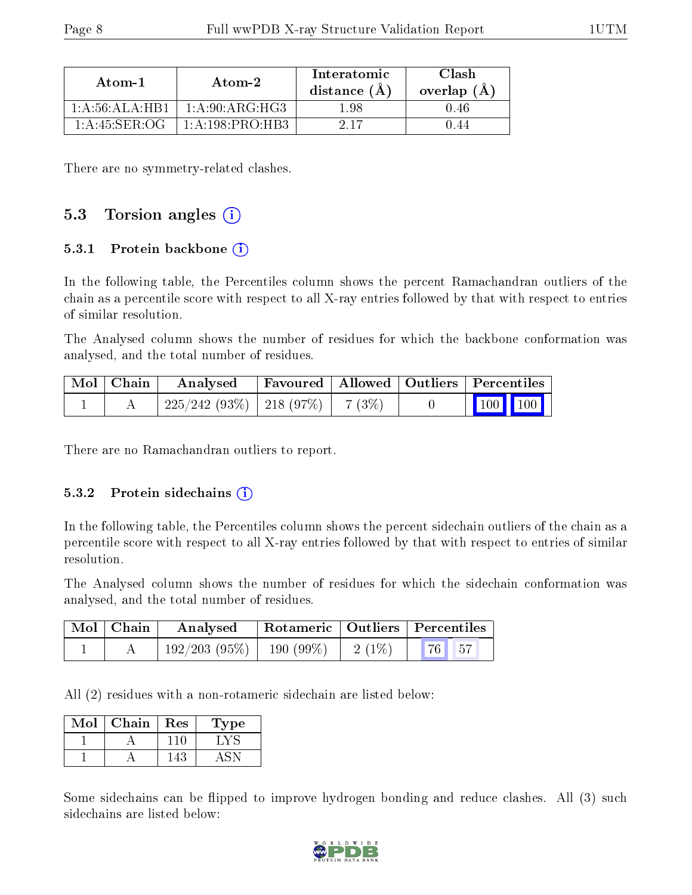| Atom-1            | Atom-2             | Interatomic<br>distance $(A)$ | Clash<br>overlap $(A)$ |  |
|-------------------|--------------------|-------------------------------|------------------------|--|
| 1: A:56:ALA:HBA   | 1: A:90: ARG: HG3  | L 98                          | 0.46                   |  |
| $1: A:45:$ SER:OG | 1: A: 198: PRO·HB3 | 917                           | -44                    |  |

There are no symmetry-related clashes.

#### 5.3 Torsion angles  $(i)$

#### 5.3.1 Protein backbone (i)

In the following table, the Percentiles column shows the percent Ramachandran outliers of the chain as a percentile score with respect to all X-ray entries followed by that with respect to entries of similar resolution.

The Analysed column shows the number of residues for which the backbone conformation was analysed, and the total number of residues.

| Mol   Chain | Analysed                               |  | Favoured   Allowed   Outliers   Percentiles |  |  |
|-------------|----------------------------------------|--|---------------------------------------------|--|--|
|             | $225/242(93\%)$   218 (97\%)   7 (3\%) |  | $\vert$ 100 100 $\vert$                     |  |  |

There are no Ramachandran outliers to report.

#### 5.3.2 Protein sidechains  $\hat{1}$

In the following table, the Percentiles column shows the percent sidechain outliers of the chain as a percentile score with respect to all X-ray entries followed by that with respect to entries of similar resolution.

The Analysed column shows the number of residues for which the sidechain conformation was analysed, and the total number of residues.

| $\mid$ Mol $\mid$ Chain | Analysed                      |           | Rotameric   Outliers   Percentiles |  |
|-------------------------|-------------------------------|-----------|------------------------------------|--|
|                         | $192/203$ (95\%)   190 (99\%) | $-2(1\%)$ | $\parallel$ 76 $\parallel$ 57      |  |

All (2) residues with a non-rotameric sidechain are listed below:

| Mol | Chain | Res | L'ype |
|-----|-------|-----|-------|
|     |       |     |       |
|     |       |     |       |

Some sidechains can be flipped to improve hydrogen bonding and reduce clashes. All (3) such sidechains are listed below:

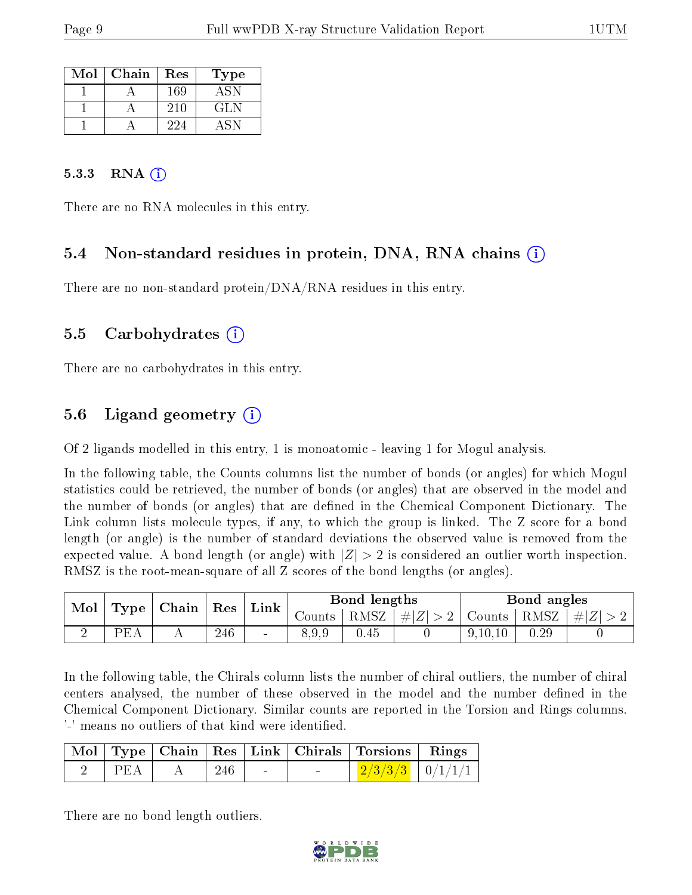| Mol | Chain | Res | Type |
|-----|-------|-----|------|
|     |       | 169 | A SN |
|     |       | 210 | GLN  |
|     |       | 224 |      |

#### 5.3.3 RNA  $(i)$

There are no RNA molecules in this entry.

### 5.4 Non-standard residues in protein, DNA, RNA chains (i)

There are no non-standard protein/DNA/RNA residues in this entry.

#### 5.5 Carbohydrates (i)

There are no carbohydrates in this entry.

### 5.6 Ligand geometry  $(i)$

Of 2 ligands modelled in this entry, 1 is monoatomic - leaving 1 for Mogul analysis.

In the following table, the Counts columns list the number of bonds (or angles) for which Mogul statistics could be retrieved, the number of bonds (or angles) that are observed in the model and the number of bonds (or angles) that are defined in the Chemical Component Dictionary. The Link column lists molecule types, if any, to which the group is linked. The Z score for a bond length (or angle) is the number of standard deviations the observed value is removed from the expected value. A bond length (or angle) with  $|Z| > 2$  is considered an outlier worth inspection. RMSZ is the root-mean-square of all Z scores of the bond lengths (or angles).

| Mol | $Type \vert$ | $\perp$ Chain $\perp$ | $\vert$ Res | $\mathop{\rm Link}\nolimits$ |        | Bond lengths |             |               | Bond angles |           |
|-----|--------------|-----------------------|-------------|------------------------------|--------|--------------|-------------|---------------|-------------|-----------|
|     |              |                       |             |                              | Counts | RMSZ         | $\# Z  > 2$ | Counts   RMSZ |             | $\pm  Z $ |
|     | PF.          |                       | 246         | $\sim$                       | 8.9.9  | 0.45         |             | 9,10,10       | 0.29        |           |

In the following table, the Chirals column lists the number of chiral outliers, the number of chiral centers analysed, the number of these observed in the model and the number defined in the Chemical Component Dictionary. Similar counts are reported in the Torsion and Rings columns. '-' means no outliers of that kind were identified.

|     |                                       |        |        | Mol   Type   Chain   Res   Link   Chirals   Torsions   Rings |  |
|-----|---------------------------------------|--------|--------|--------------------------------------------------------------|--|
| PEA | $\mathbf{A}$ is a set of $\mathbf{A}$ | $-246$ | $\sim$ | $\frac{2}{3}$ $\frac{3}{3}$ $\frac{1}{0}$ $\frac{1}{1}$      |  |

There are no bond length outliers.

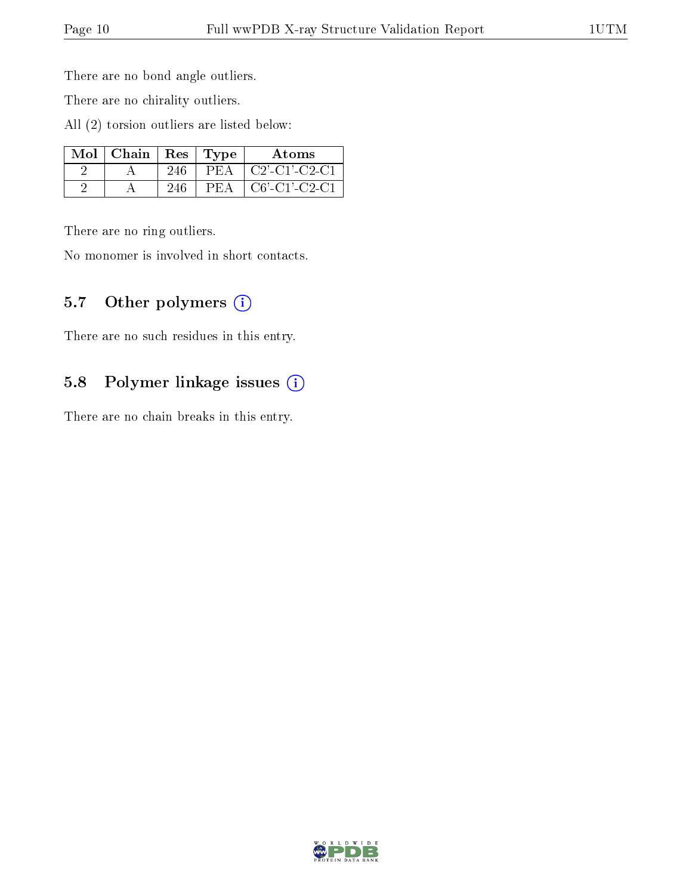There are no bond angle outliers.

There are no chirality outliers.

All (2) torsion outliers are listed below:

| $Mol$   Chain | Res | Type | Atoms                                                                |
|---------------|-----|------|----------------------------------------------------------------------|
|               | 246 | PFA  | $C2$ <sup>-</sup> $C1$ <sup>-</sup> $C2$ <sup>-<math>C1</math></sup> |
|               | 246 | PEA  | $C6'-C1'-C2-C1$                                                      |

There are no ring outliers.

No monomer is involved in short contacts.

### 5.7 [O](https://www.wwpdb.org/validation/2017/XrayValidationReportHelp#nonstandard_residues_and_ligands)ther polymers (i)

There are no such residues in this entry.

### 5.8 Polymer linkage issues (i)

There are no chain breaks in this entry.

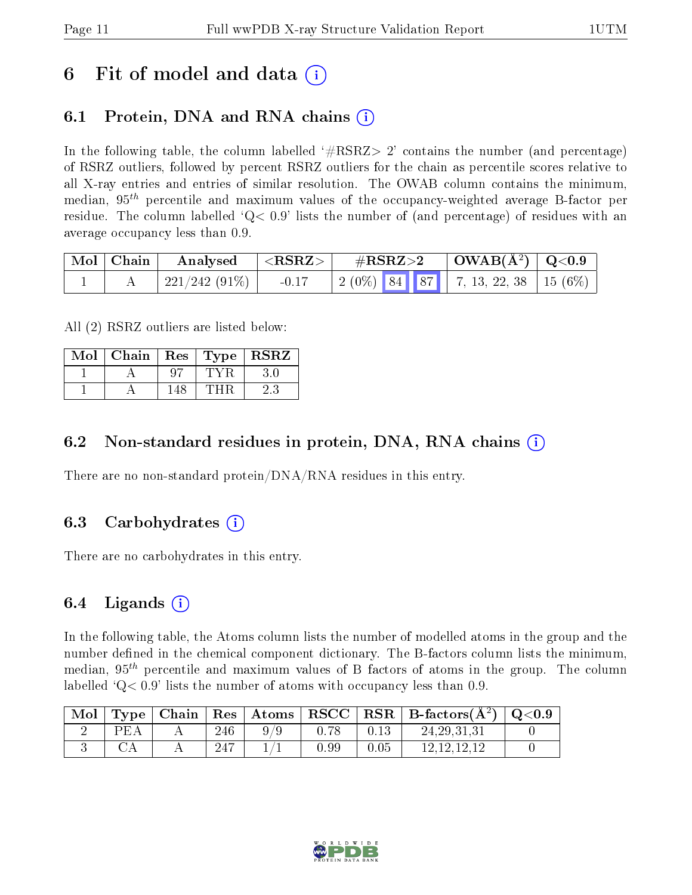## 6 Fit of model and data  $\circ$

### 6.1 Protein, DNA and RNA chains (i)

In the following table, the column labelled  $#RSRZ>2'$  contains the number (and percentage) of RSRZ outliers, followed by percent RSRZ outliers for the chain as percentile scores relative to all X-ray entries and entries of similar resolution. The OWAB column contains the minimum, median,  $95<sup>th</sup>$  percentile and maximum values of the occupancy-weighted average B-factor per residue. The column labelled  $Q< 0.9$  lists the number of (and percentage) of residues with an average occupancy less than 0.9.

| $\mid$ Mol $\mid$ Chain $\mid$ | Analysed      | $ \langle \mathrm{RSRZ}\rangle $ | $\rm \#RSRZ{>}2$                          | $\mid$ OWAB(Å <sup>2</sup> ) $\mid$ Q<0.9 $\mid$ |  |
|--------------------------------|---------------|----------------------------------|-------------------------------------------|--------------------------------------------------|--|
|                                | 221/242 (91%) | $-0.17$                          | $\mid$ 2 (0%) 84 87 7, 13, 22, 38 15 (6%) |                                                  |  |

All (2) RSRZ outliers are listed below:

| Mol | Chain | Res | $Type   R\overline{SRZ}$ |
|-----|-------|-----|--------------------------|
|     |       |     |                          |
|     |       | 148 |                          |

#### 6.2 Non-standard residues in protein, DNA, RNA chains  $(i)$

There are no non-standard protein/DNA/RNA residues in this entry.

#### 6.3 Carbohydrates (i)

There are no carbohydrates in this entry.

### 6.4 Ligands  $(i)$

In the following table, the Atoms column lists the number of modelled atoms in the group and the number defined in the chemical component dictionary. The B-factors column lists the minimum, median,  $95<sup>th</sup>$  percentile and maximum values of B factors of atoms in the group. The column labelled  $Q < 0.9$  lists the number of atoms with occupancy less than 0.9.

| $\mid$ Mol |     |      |      |      | $\langle$ Type   Chain   Res   Atoms   RSCC   RSR   B-factors $(A^2)$   Q<0.9 |  |
|------------|-----|------|------|------|-------------------------------------------------------------------------------|--|
|            | PEA | 246  |      | 0.13 | 24.29.31.31                                                                   |  |
|            |     | -247 | 0.99 | 0.05 | 12 12 12 12                                                                   |  |